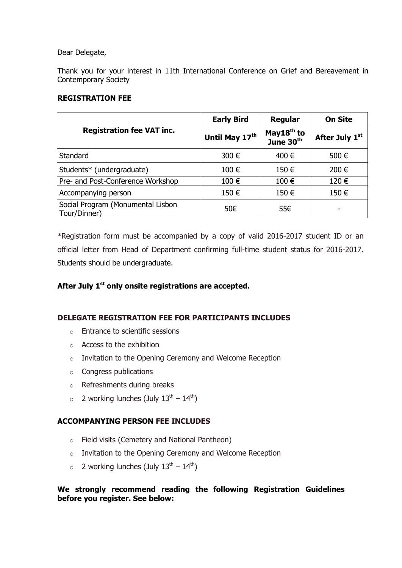#### Dear Delegate,

Thank you for your interest in 11th International Conference on Grief and Bereavement in Contemporary Society

#### **REGISTRATION FEE**

| <b>Registration fee VAT inc.</b>                  | <b>Early Bird</b> | <b>Regular</b>                                  | <b>On Site</b> |
|---------------------------------------------------|-------------------|-------------------------------------------------|----------------|
|                                                   | Until May 17th    | May18 <sup>th</sup> to<br>June 30 <sup>th</sup> | After July 1st |
| <b>Standard</b>                                   | 300 €             | 400 €                                           | 500 €          |
| Students* (undergraduate)                         | 100€              | 150€                                            | 200 €          |
| Pre- and Post-Conference Workshop                 | 100€              | 100€                                            | 120€           |
| Accompanying person                               | 150€              | 150€                                            | 150€           |
| Social Program (Monumental Lisbon<br>Tour/Dinner) | 50€               | 55€                                             |                |

\*Registration form must be accompanied by a copy of valid 2016-2017 student ID or an official letter from Head of Department confirming full-time student status for 2016-2017. Students should be undergraduate.

## **After July 1 st only onsite registrations are accepted.**

## **DELEGATE REGISTRATION FEE FOR PARTICIPANTS INCLUDES**

- o Entrance to scientific sessions
- o Access to the exhibition
- o Invitation to the Opening Ceremony and Welcome Reception
- o Congress publications
- o Refreshments during breaks
- $\circ$  2 working lunches (July  $13^{th} 14^{th}$ )

## **ACCOMPANYING PERSON FEE INCLUDES**

- o Field visits (Cemetery and National Pantheon)
- o Invitation to the Opening Ceremony and Welcome Reception
- $\circ$  2 working lunches (July  $13^{th} 14^{th}$ )

## **We strongly recommend reading the following Registration Guidelines before you register. See below:**